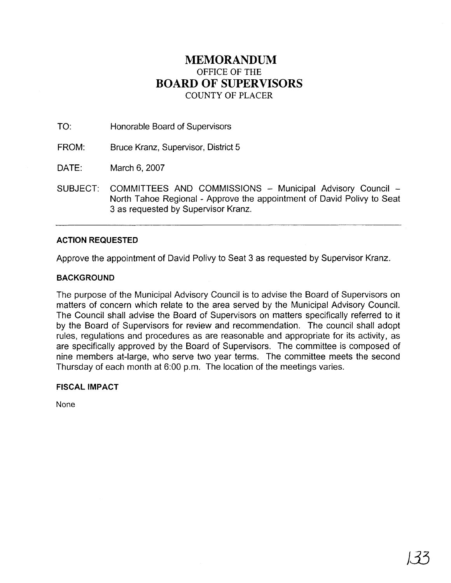## **MEMORANDUM**  OFFICE OF THE **BOARD OF SUPERVISORS**  COUNTY OF PLACER

TO: Honorable Board of Supervisors

FROM: Bruce Kranz, Supervisor, District 5

DATE: March 6,2007

SUBJECT: COMMITTEES AND COMMISSIONS - Municipal Advisory Council -North Tahoe Regional - Approve the appointment of David Polivy to Seat 3 as requested by Supervisor Kranz.

## **ACTION REQUESTED**

Approve the appointment of David Polivy to Seat 3 as requested by Supervisor Kranz.

## **BACKGROUND**

The purpose of the Municipal Advisory Council is to advise the Board of Supervisors on matters of concern which relate to the area served by the Municipal Advisory Council. The Council shall advise the Board of Supervisors on matters specifically referred to it by the Board of Supervisors for review and recommendation. The council shall adopt rules, regulations and procedures as are reasonable and appropriate for its activity, as are specifically approved by the Board of Supervisors. The committee is composed of nine members at-large, who serve two year terms. The committee meets the second Thursday of each month at 6:00 p.m. The location of the meetings varies.

## **FISCAL IMPACT**

None